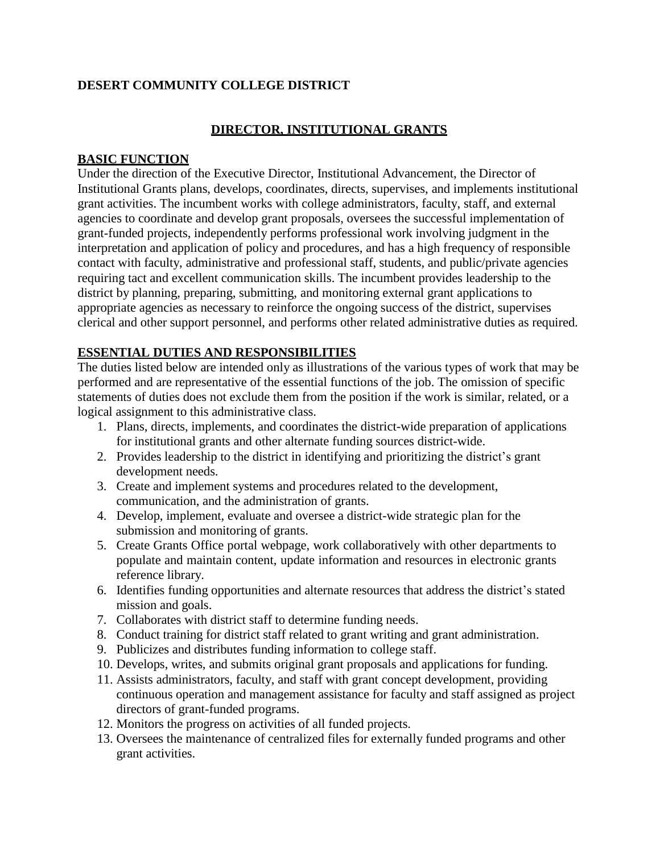# **DESERT COMMUNITY COLLEGE DISTRICT**

## **DIRECTOR, INSTITUTIONAL GRANTS**

#### **BASIC FUNCTION**

Under the direction of the Executive Director, Institutional Advancement, the Director of Institutional Grants plans, develops, coordinates, directs, supervises, and implements institutional grant activities. The incumbent works with college administrators, faculty, staff, and external agencies to coordinate and develop grant proposals, oversees the successful implementation of grant-funded projects, independently performs professional work involving judgment in the interpretation and application of policy and procedures, and has a high frequency of responsible contact with faculty, administrative and professional staff, students, and public/private agencies requiring tact and excellent communication skills. The incumbent provides leadership to the district by planning, preparing, submitting, and monitoring external grant applications to appropriate agencies as necessary to reinforce the ongoing success of the district, supervises clerical and other support personnel, and performs other related administrative duties as required.

#### **ESSENTIAL DUTIES AND RESPONSIBILITIES**

The duties listed below are intended only as illustrations of the various types of work that may be performed and are representative of the essential functions of the job. The omission of specific statements of duties does not exclude them from the position if the work is similar, related, or a logical assignment to this administrative class.

- 1. Plans, directs, implements, and coordinates the district-wide preparation of applications for institutional grants and other alternate funding sources district-wide.
- 2. Provides leadership to the district in identifying and prioritizing the district's grant development needs.
- 3. Create and implement systems and procedures related to the development, communication, and the administration of grants.
- 4. Develop, implement, evaluate and oversee a district-wide strategic plan for the submission and monitoring of grants.
- 5. Create Grants Office portal webpage, work collaboratively with other departments to populate and maintain content, update information and resources in electronic grants reference library.
- 6. Identifies funding opportunities and alternate resources that address the district's stated mission and goals.
- 7. Collaborates with district staff to determine funding needs.
- 8. Conduct training for district staff related to grant writing and grant administration.
- 9. Publicizes and distributes funding information to college staff.
- 10. Develops, writes, and submits original grant proposals and applications for funding.
- 11. Assists administrators, faculty, and staff with grant concept development, providing continuous operation and management assistance for faculty and staff assigned as project directors of grant-funded programs.
- 12. Monitors the progress on activities of all funded projects.
- 13. Oversees the maintenance of centralized files for externally funded programs and other grant activities.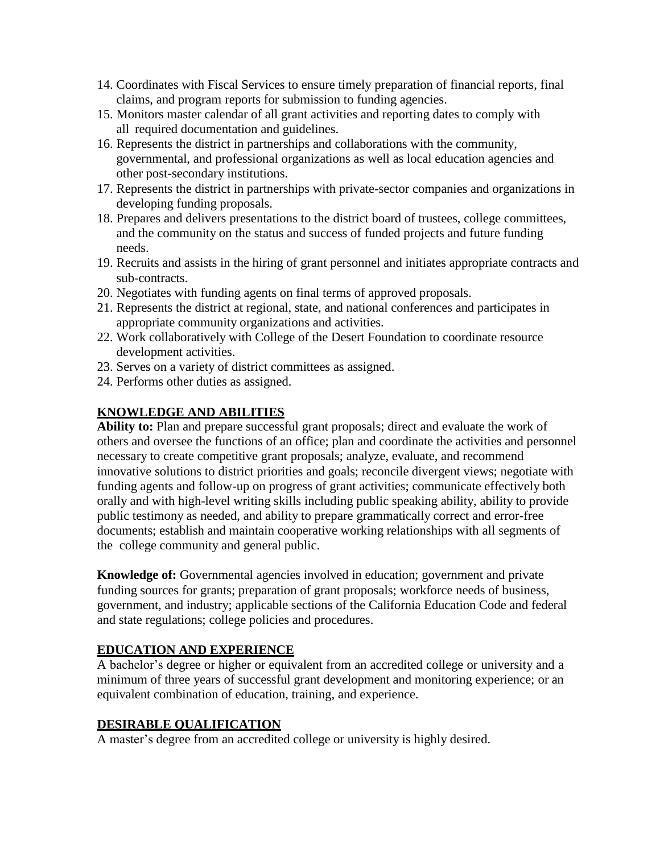- 14. Coordinates with Fiscal Services to ensure timely preparation of financial reports, final claims, and program reports for submission to funding agencies.
- 15. Monitors master calendar of all grant activities and reporting dates to comply with all required documentation and guidelines.
- 16. Represents the district in partnerships and collaborations with the community, governmental, and professional organizations as well as local education agencies and other post-secondary institutions.
- 17. Represents the district in partnerships with private-sector companies and organizations in developing funding proposals.
- 18. Prepares and delivers presentations to the district board of trustees, college committees, and the community on the status and success of funded projects and future funding needs.
- 19. Recruits and assists in the hiring of grant personnel and initiates appropriate contracts and sub-contracts.
- 20. Negotiates with funding agents on final terms of approved proposals.
- 21. Represents the district at regional, state, and national conferences and participates in appropriate community organizations and activities.
- 22. Work collaboratively with College of the Desert Foundation to coordinate resource development activities.
- 23. Serves on a variety of district committees as assigned.
- 24. Performs other duties as assigned.

# **KNOWLEDGE AND ABILITIES**

**Ability to:** Plan and prepare successful grant proposals; direct and evaluate the work of others and oversee the functions of an office; plan and coordinate the activities and personnel necessary to create competitive grant proposals; analyze, evaluate, and recommend innovative solutions to district priorities and goals; reconcile divergent views; negotiate with funding agents and follow-up on progress of grant activities; communicate effectively both orally and with high-level writing skills including public speaking ability, ability to provide public testimony as needed, and ability to prepare grammatically correct and error-free documents; establish and maintain cooperative working relationships with all segments of the college community and general public.

**Knowledge of:** Governmental agencies involved in education; government and private funding sources for grants; preparation of grant proposals; workforce needs of business, government, and industry; applicable sections of the California Education Code and federal and state regulations; college policies and procedures.

# **EDUCATION AND EXPERIENCE**

A bachelor's degree or higher or equivalent from an accredited college or university and a minimum of three years of successful grant development and monitoring experience; or an equivalent combination of education, training, and experience.

# **DESIRABLE QUALIFICATION**

A master's degree from an accredited college or university is highly desired.